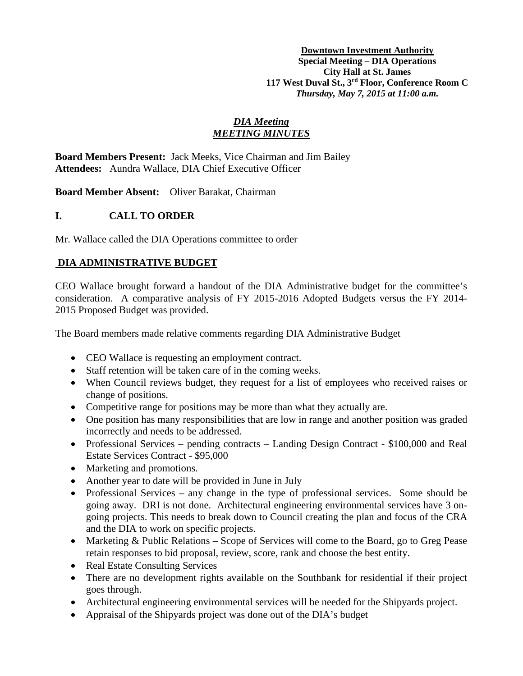**Downtown Investment Authority Special Meeting – DIA Operations City Hall at St. James 117 West Duval St., 3rd Floor, Conference Room C** *Thursday, May 7, 2015 at 11:00 a.m.*

## *DIA Meeting MEETING MINUTES*

**Board Members Present:** Jack Meeks, Vice Chairman and Jim Bailey **Attendees:** Aundra Wallace, DIA Chief Executive Officer

**Board Member Absent:** Oliver Barakat, Chairman

# **I. CALL TO ORDER**

Mr. Wallace called the DIA Operations committee to order

# **DIA ADMINISTRATIVE BUDGET**

CEO Wallace brought forward a handout of the DIA Administrative budget for the committee's consideration. A comparative analysis of FY 2015-2016 Adopted Budgets versus the FY 2014- 2015 Proposed Budget was provided.

The Board members made relative comments regarding DIA Administrative Budget

- CEO Wallace is requesting an employment contract.
- Staff retention will be taken care of in the coming weeks.
- When Council reviews budget, they request for a list of employees who received raises or change of positions.
- Competitive range for positions may be more than what they actually are.
- One position has many responsibilities that are low in range and another position was graded incorrectly and needs to be addressed.
- Professional Services pending contracts Landing Design Contract \$100,000 and Real Estate Services Contract - \$95,000
- Marketing and promotions.
- Another year to date will be provided in June in July
- Professional Services any change in the type of professional services. Some should be going away. DRI is not done. Architectural engineering environmental services have 3 ongoing projects. This needs to break down to Council creating the plan and focus of the CRA and the DIA to work on specific projects.
- Marketing & Public Relations Scope of Services will come to the Board, go to Greg Pease retain responses to bid proposal, review, score, rank and choose the best entity.
- Real Estate Consulting Services
- There are no development rights available on the Southbank for residential if their project goes through.
- Architectural engineering environmental services will be needed for the Shipyards project.
- Appraisal of the Shipyards project was done out of the DIA's budget